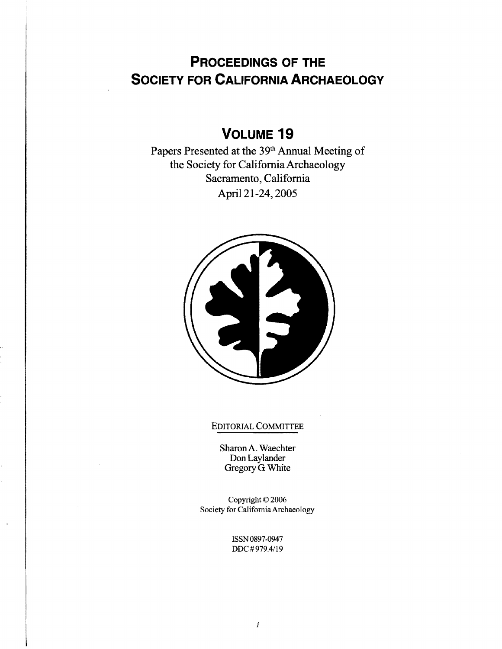# **PROCEEDINGS OF THE SOCIETY FOR CALIFORNIA ARCHAEOLOGY**

## **VOLUME 19**

Papers Presented at the 39<sup>th</sup> Annual Meeting of the Society for California Archaeology Sacramento, California April 21-24, 2005



## EDITORIAL COMMITTEE

Sharon A. Waechter Don Laylander Gregory G White

Copyright © 2006 Society for California Archaeology

> ISSN0897-0947 DDC # 979.4/19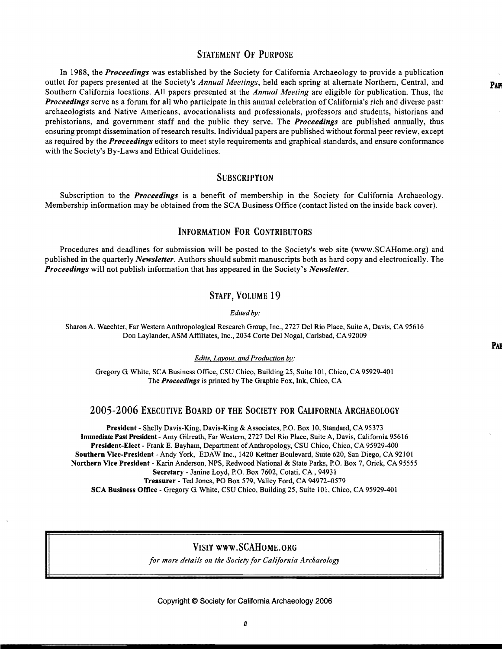#### STATEMENT OF PURPOSE

In 1988, the *Proceedings* was established by the Society for California Archaeology to provide a publication outlet for papers presented at the Society's *Annual Meetings*, held each spring at alternate Northern, Central, and Southern California locations. All papers presented at the *Annual Meeting* are eligible for publication. Thus, the *Proceedings* serve as a forum for all who participate in this annual celebration of California's rich and diverse past: archaeologists and Native Americans, avocationalists and professionals, professors and students, historians and prehistorians, and government staff and the public they serve. The *Proceedings* are published annually, thus ensuring prompt dissemination ofresearch results. Individual papers are published without formal peer review, except as required by the *Proceedings* editors to meet style requirements and graphical standards, and ensure conformance with the Society's By-Laws and Ethical Guidelines.

#### **SUBSCRIPTION**

Subscription to the *Proceedings* is a benefit of membership in the Society for California Archaeology. Membership information may be obtained from the SCA Business Office (contact listed on the inside back cover).

#### INFORMATION FOR CONTRIBUTORS

Procedures and deadlines for submission will be posted to the Society's web site (www.SCAHome.org) and published in the quarterly *Newsletter.* Authors should submit manuscripts both as hard copy and electronically. The *Proceedings* will not publish information that has appeared in the Society's *Newsletter.* 

#### STAFF, VOLUME 19

*Edited by:* 

Sharon A. Waechter, Far Western Anthropological Research Group, Inc., 2727 Del Rio Place, Suite A, Davis, CA 95616 Don Laylander, ASM Affiliates, Inc., 2034 Corte Del Nogal, Carlsbad, CA 92009

*Edits. Lgyout. and Production by:* 

Gregory G. White, SCA Business Office, CSU Chico, Building 25, Suite 101, Chico, CA 95929-401 The *Proceedings* is printed by The Graphic Fox, Ink, Chico, CA

#### 2005-2006 EXECUTIVE BOARD OF THE SOCIETY FOR CALIFORNIA ARCHAEOLOGY

President - Shelly Davis-King, Davis-King & Associates, P.O. Box 10, Standard, CA 95373 Immediate Past President - Amy Gilreath, Far Western, 2727 Del Rio Place, Suite A, Davis, California 95616 President-Elect - Frank E. Bayham, Department of Anthropology, CSU Chico, Chico, CA 95929-400 Southern Vice-President - Andy York, EDAW Inc., 1420 Kettner Boulevard, Suite 620, San Diego, CA 92101 Northern Vice President - Karin Anderson, NPS, Redwood National & State Parks, P.O. Box 7, Orick, CA 95555 Secretary - Janine Loyd, P.O. Box 7602, Cotati, CA , 94931 Treasurer - Ted Jones, PO Box 579, Valley Ford, CA 94972-0579 SeA Business Office - Gregory G. White, CSU Chico, Building 25, Suite 101, Chico, CA 95929-401

#### VISIT www.SCAHoME.ORG

*for more details on the Society for California Archaeology* 

Copyright © Society for California Archaeology 2006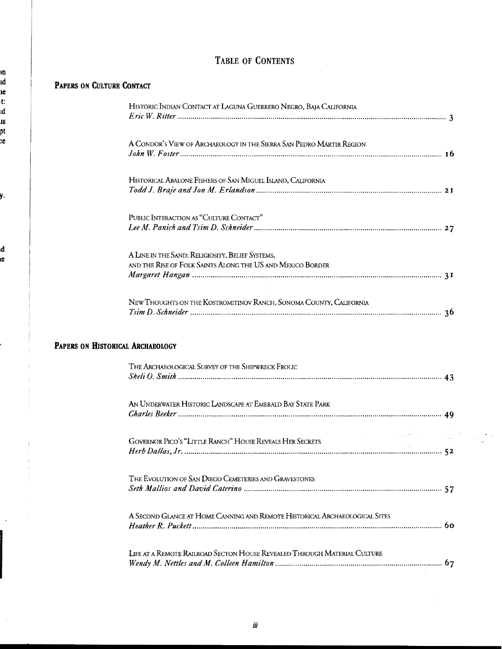## TABLE OF CONTENTS

 $\hat{\mathcal{A}}$ 

| HISTORIC INDIAN CONTACT AT LAGUNA GUERRERO NEGRO, BAJA CALIFORNIA                                              |  |
|----------------------------------------------------------------------------------------------------------------|--|
| A CONDOR'S VIEW OF ARCHAEOLOGY IN THE SIERRA SAN PEDRO MARTIR REGION                                           |  |
| HISTORICAL ABALONE FISHERS OF SAN MIGUEL ISLAND, CALIFORNIA                                                    |  |
| PUBLIC INTERACTION AS "CULTURE CONTACT"                                                                        |  |
| A LINE IN THE SAND: RELIGIOSITY, BELIEF SYSTEMS,<br>AND THE RISE OF FOLK SAINTS ALONG THE US AND MEXICO BORDER |  |
| NEW THOUGHTS ON THE KOSTROMITINOV RANCH, SONOMA COUNTY, CALIFORNIA                                             |  |
| PAPERS ON HISTORICAL ARCHAEOLOGY                                                                               |  |
| THE ARCHAEOLOGICAL SURVEY OF THE SHIPWRECK FROLIC                                                              |  |
| AN UNDERWATER HISTORIC LANDSCAPE AT EMERALD BAY STATE PARK                                                     |  |
| GOVERNOR PICO'S "LITTLE RANCH" HOUSE REVEALS HER SECRETS                                                       |  |
| THE EVOLUTION OF SAN DIEGO CEMETERIES AND GRAVESTONES                                                          |  |
| A SECOND GLANCE AT HOME CANNING AND REMOTE HISTORICAL ARCHAEOLOGICAL SITES                                     |  |
| LIFE AT A REMOTE RAILROAD SECTON HOUSE REVEALED THROUGH MATERIAL CULTURE                                       |  |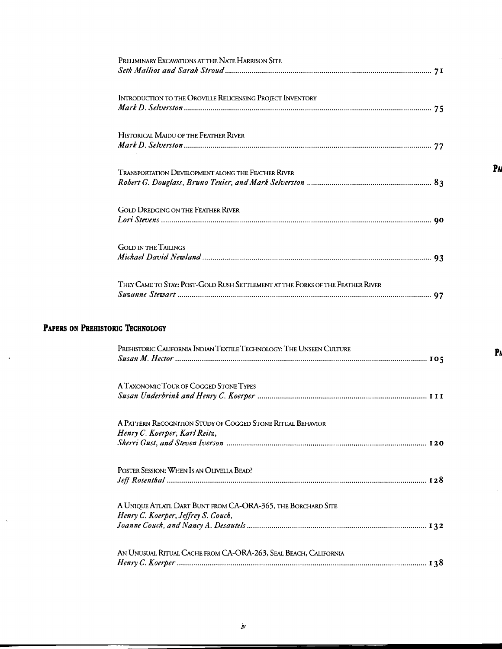| PRELIMINARY EXCAVATIONS AT THE NATE HARRISON SITE                              |
|--------------------------------------------------------------------------------|
| INTRODUCTION TO THE OROVILLE RELICENSING PROJECT INVENTORY                     |
| HISTORICAL MAIDU OF THE FEATHER RIVER                                          |
| TRANSPORTATION DEVELOPMENT ALONG THE FEATHER RIVER                             |
| <b>GOLD DREDGING ON THE FEATHER RIVER</b>                                      |
| <b>GOLD IN THE TAILINGS</b>                                                    |
| They Came to Stay: Post-Gold Rush Settlement at the Forks of the Feather River |

## **PAPERS ON PREHISTORIC TECHNOLOGY**

 $\sim 10^4$ 

 $\mathbf{A}$ 

| PREHISTORIC CALIFORNIA INDIAN TEXTILE TECHNOLOGY: THE UNSEEN CULTURE                                |
|-----------------------------------------------------------------------------------------------------|
| A TAXONOMIC TOUR OF COGGED STONE TYPES                                                              |
| A PATTERN RECOGNITION STUDY OF COGGED STONE RITUAL BEHAVIOR<br>Henry C. Koerper, Karl Reitz,        |
| POSTER SESSION: WHEN IS AN OLIVELLA BEAD?                                                           |
| A UNIQUE ATLATL DART BUNT FROM CA-ORA-365, THE BORCHARD SITE<br>Henry C. Koerper, Jeffrey S. Couch, |
| AN UNUSUAL RITUAL CACHE FROM CA-ORA-263, SEAL BEACH, CALIFORNIA                                     |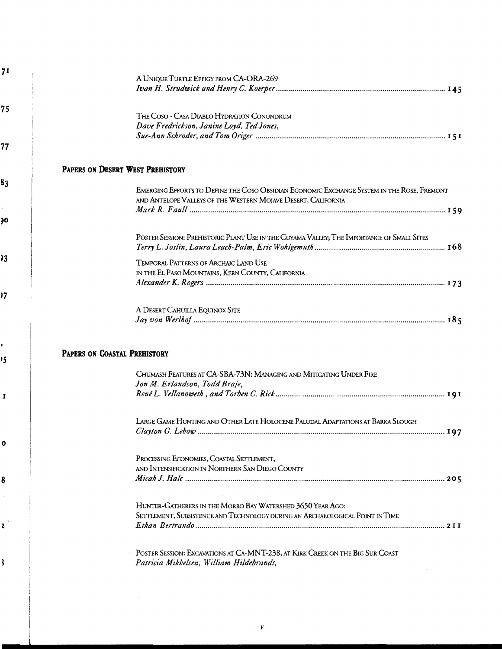| A UNIQUE TURTLE EFFIGY FROM CA-ORA-269     |  |
|--------------------------------------------|--|
| The Coso - Casa Diablo Hydration Conundrum |  |
| Dave Fredrickson, Janine Loyd, Ted Jones,  |  |

### **PAPERS ON DESERT WEST PREHISTORY**

| EMERGING EFFORTS TO DEFINE THE COSO OBSIDIAN ECONOMIC EXCHANGE SYSTEM IN THE ROSE, FREMONT<br>AND ANTELOPE VALLEYS OF THE WESTERN MOJAVE DESERT, CALIFORNIA |
|-------------------------------------------------------------------------------------------------------------------------------------------------------------|
| POSTER SESSION: PREHISTORIC PLANT USE IN THE CUYAMA VALLEY; THE IMPORTANCE OF SMALL SITES                                                                   |
| <b>TEMPORAL PATTERNS OF ARCHAIC LAND USE</b>                                                                                                                |
| IN THE EL PASO MOUNTAINS, KERN COUNTY, CALIFORNIA                                                                                                           |
|                                                                                                                                                             |
| A DESERT CAHUILLA EQUINOX SITE                                                                                                                              |

## **PAPERS ON CoASTAL PREHISTORY**

| Chumash Features at CA-SBA-73N: Managing and Mittgating Under Fire<br>Jon M. Erlandson, Todd Braje,                                         |
|---------------------------------------------------------------------------------------------------------------------------------------------|
| Large Game Hunting and Other Late Holocene Paludal Adaptations at Barka Slough                                                              |
| PROCESSING ECONOMIES, COASTAL SETTLEMENT,<br>AND INTENSIFICATION IN NORTHERN SAN DIEGO COUNTY                                               |
| HUNTER-GATHERERS IN THE MORRO BAY WATERSHED 3650 YEAR AGO:<br>SETTLEMENT, SUBSISTENCE AND TECHNOLOGY DURING AN ARCHAEOLOGICAL POINT IN TIME |
| POSTER SESSION: EXCAVATIONS AT CA-MNT-238, AT KIRK CREEK ON THE BIG SUR COAST<br>Patricia Mikkelsen, William Hildebrandt,                   |